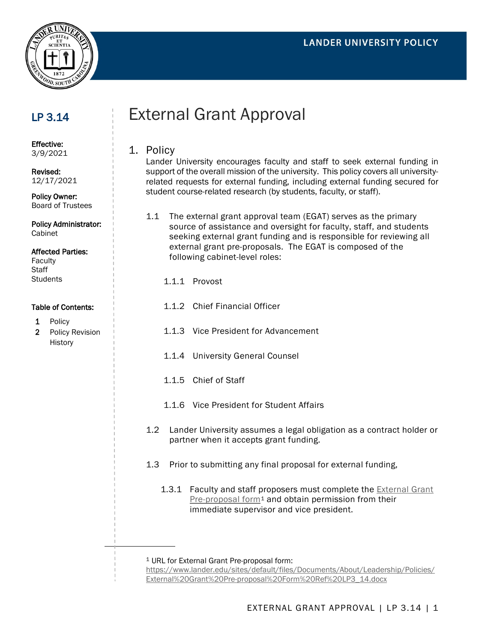

## LP 3.14

## External Grant Approval

Effective: 3/9/2021

Revised: 12/17/2021

Policy Owner: Board of Trustees

Policy Administrator: Cabinet

## Affected Parties:

Faculty **Staff Students** 

## Table of Contents:

- 1 Policy
- 2 Policy Revision History

1. Policy Lander University encourages faculty and staff to seek external funding in

support of the overall mission of the university. This policy covers all universityrelated requests for external funding, including external funding secured for student course-related research (by students, faculty, or staff).

- 1.1 The external grant approval team (EGAT) serves as the primary source of assistance and oversight for faculty, staff, and students seeking external grant funding and is responsible for reviewing all external grant pre-proposals. The EGAT is composed of the following cabinet-level roles:
	- 1.1.1 Provost
	- 1.1.2 Chief Financial Officer
	- 1.1.3 Vice President for Advancement
	- 1.1.4 University General Counsel
	- 1.1.5 Chief of Staff
	- 1.1.6 Vice President for Student Affairs
- 1.2 Lander University assumes a legal obligation as a contract holder or partner when it accepts grant funding.
- 1.3 Prior to submitting any final proposal for external funding,
	- 1.3.1 Faculty and staff proposers must complete the [External Grant](https://www.lander.edu/sites/default/files/Documents/About/Leadership/Policies/External%20Grant%20Pre-proposal%20Form%20Ref%20LP3_14.docx)   $Pre-proposal form<sup>1</sup>$  $Pre-proposal form<sup>1</sup>$  $Pre-proposal form<sup>1</sup>$  $Pre-proposal form<sup>1</sup>$  and obtain permission from their immediate supervisor and vice president.

<span id="page-0-0"></span><sup>1</sup> URL for External Grant Pre-proposal form:

[https://www.lander.edu/sites/default/files/Documents/About/Leadership/Policies/](https://www.lander.edu/sites/default/files/Documents/About/Leadership/Policies/External%20Grant%20Pre-proposal%20Form%20Ref%20LP3_14.docx) [External%20Grant%20Pre-proposal%20Form%20Ref%20LP3\\_14.docx](https://www.lander.edu/sites/default/files/Documents/About/Leadership/Policies/External%20Grant%20Pre-proposal%20Form%20Ref%20LP3_14.docx)